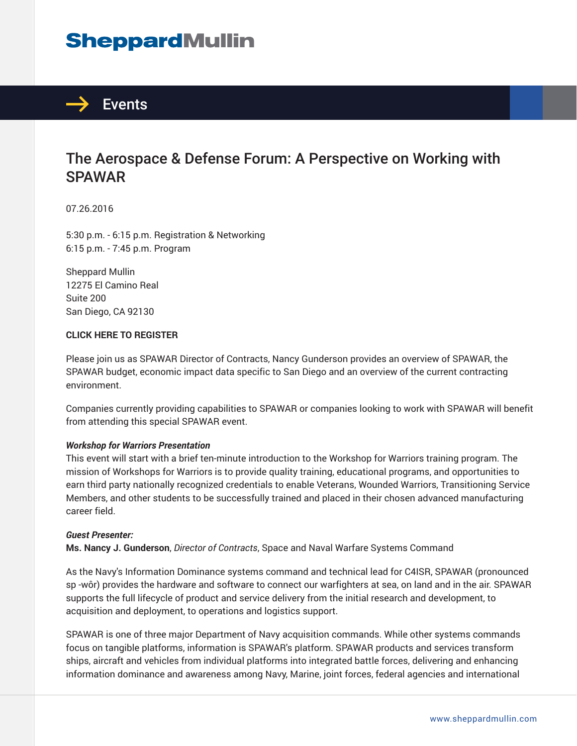# **SheppardMullin**



### The Aerospace & Defense Forum: A Perspective on Working with **SPAWAR**

#### 07.26.2016

5:30 p.m. - 6:15 p.m. Registration & Networking 6:15 p.m. - 7:45 p.m. Program

Sheppard Mullin 12275 El Camino Real Suite 200 San Diego, CA 92130

#### **CLICK HERE TO REGISTER**

Please join us as SPAWAR Director of Contracts, Nancy Gunderson provides an overview of SPAWAR, the SPAWAR budget, economic impact data specific to San Diego and an overview of the current contracting environment.

Companies currently providing capabilities to SPAWAR or companies looking to work with SPAWAR will benefit from attending this special SPAWAR event.

#### *Workshop for Warriors Presentation*

This event will start with a brief ten-minute introduction to the Workshop for Warriors training program. The mission of Workshops for Warriors is to provide quality training, educational programs, and opportunities to earn third party nationally recognized credentials to enable Veterans, Wounded Warriors, Transitioning Service Members, and other students to be successfully trained and placed in their chosen advanced manufacturing career field.

#### *Guest Presenter:*

**Ms. Nancy J. Gunderson**, *Director of Contracts*, Space and Naval Warfare Systems Command

As the Navy's Information Dominance systems command and technical lead for C4ISR, SPAWAR (pronounced sp -wôr) provides the hardware and software to connect our warfighters at sea, on land and in the air. SPAWAR supports the full lifecycle of product and service delivery from the initial research and development, to acquisition and deployment, to operations and logistics support.

SPAWAR is one of three major Department of Navy acquisition commands. While other systems commands focus on tangible platforms, information is SPAWAR's platform. SPAWAR products and services transform ships, aircraft and vehicles from individual platforms into integrated battle forces, delivering and enhancing information dominance and awareness among Navy, Marine, joint forces, federal agencies and international